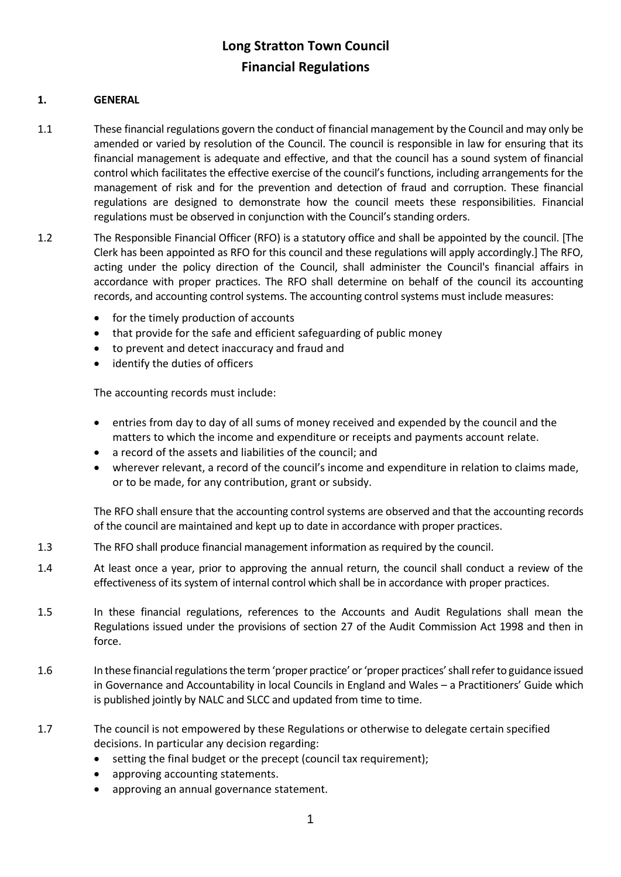### **1. GENERAL**

- 1.1 These financial regulations govern the conduct of financial management by the Council and may only be amended or varied by resolution of the Council. The council is responsible in law for ensuring that its financial management is adequate and effective, and that the council has a sound system of financial control which facilitates the effective exercise of the council's functions, including arrangements for the management of risk and for the prevention and detection of fraud and corruption. These financial regulations are designed to demonstrate how the council meets these responsibilities. Financial regulations must be observed in conjunction with the Council's standing orders.
- 1.2 The Responsible Financial Officer (RFO) is a statutory office and shall be appointed by the council. [The Clerk has been appointed as RFO for this council and these regulations will apply accordingly.] The RFO, acting under the policy direction of the Council, shall administer the Council's financial affairs in accordance with proper practices. The RFO shall determine on behalf of the council its accounting records, and accounting control systems. The accounting control systems must include measures:
	- for the timely production of accounts
	- that provide for the safe and efficient safeguarding of public money
	- to prevent and detect inaccuracy and fraud and
	- identify the duties of officers

The accounting records must include:

- entries from day to day of all sums of money received and expended by the council and the matters to which the income and expenditure or receipts and payments account relate.
- a record of the assets and liabilities of the council; and
- wherever relevant, a record of the council's income and expenditure in relation to claims made, or to be made, for any contribution, grant or subsidy.

The RFO shall ensure that the accounting control systems are observed and that the accounting records of the council are maintained and kept up to date in accordance with proper practices.

- 1.3 The RFO shall produce financial management information as required by the council.
- 1.4 At least once a year, prior to approving the annual return, the council shall conduct a review of the effectiveness of its system of internal control which shall be in accordance with proper practices.
- 1.5 In these financial regulations, references to the Accounts and Audit Regulations shall mean the Regulations issued under the provisions of section 27 of the Audit Commission Act 1998 and then in force.
- 1.6 In these financial regulations the term 'proper practice' or 'proper practices' shall refer to guidance issued in Governance and Accountability in local Councils in England and Wales – a Practitioners' Guide which is published jointly by NALC and SLCC and updated from time to time.
- 1.7 The council is not empowered by these Regulations or otherwise to delegate certain specified decisions. In particular any decision regarding:
	- setting the final budget or the precept (council tax requirement);
	- approving accounting statements.
	- approving an annual governance statement.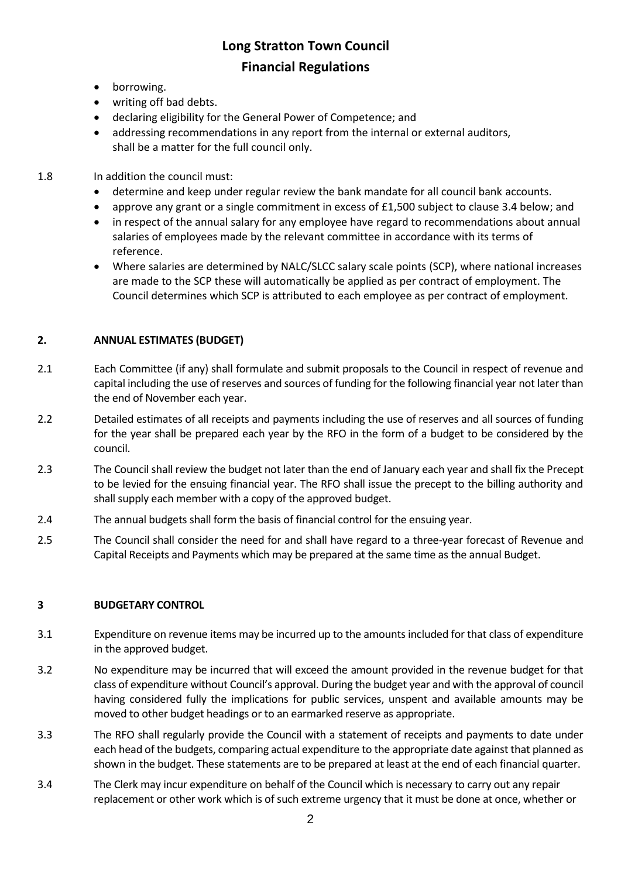- borrowing.
- writing off bad debts.
- declaring eligibility for the General Power of Competence; and
- addressing recommendations in any report from the internal or external auditors, shall be a matter for the full council only.
- 1.8 In addition the council must:
	- determine and keep under regular review the bank mandate for all council bank accounts.
	- approve any grant or a single commitment in excess of £1,500 subject to clause 3.4 below; and
	- in respect of the annual salary for any employee have regard to recommendations about annual salaries of employees made by the relevant committee in accordance with its terms of reference.
	- Where salaries are determined by NALC/SLCC salary scale points (SCP), where national increases are made to the SCP these will automatically be applied as per contract of employment. The Council determines which SCP is attributed to each employee as per contract of employment.

### **2. ANNUAL ESTIMATES (BUDGET)**

- 2.1 Each Committee (if any) shall formulate and submit proposals to the Council in respect of revenue and capital including the use of reserves and sources of funding for the following financial year not later than the end of November each year.
- 2.2 Detailed estimates of all receipts and payments including the use of reserves and all sources of funding for the year shall be prepared each year by the RFO in the form of a budget to be considered by the council.
- 2.3 The Council shall review the budget not later than the end of January each year and shall fix the Precept to be levied for the ensuing financial year. The RFO shall issue the precept to the billing authority and shall supply each member with a copy of the approved budget.
- 2.4 The annual budgets shall form the basis of financial control for the ensuing year.
- 2.5 The Council shall consider the need for and shall have regard to a three-year forecast of Revenue and Capital Receipts and Payments which may be prepared at the same time as the annual Budget.

### **3 BUDGETARY CONTROL**

- 3.1 Expenditure on revenue items may be incurred up to the amounts included for that class of expenditure in the approved budget.
- 3.2 No expenditure may be incurred that will exceed the amount provided in the revenue budget for that class of expenditure without Council's approval. During the budget year and with the approval of council having considered fully the implications for public services, unspent and available amounts may be moved to other budget headings or to an earmarked reserve as appropriate.
- 3.3 The RFO shall regularly provide the Council with a statement of receipts and payments to date under each head of the budgets, comparing actual expenditure to the appropriate date against that planned as shown in the budget. These statements are to be prepared at least at the end of each financial quarter.
- 3.4 The Clerk may incur expenditure on behalf of the Council which is necessary to carry out any repair replacement or other work which is of such extreme urgency that it must be done at once, whether or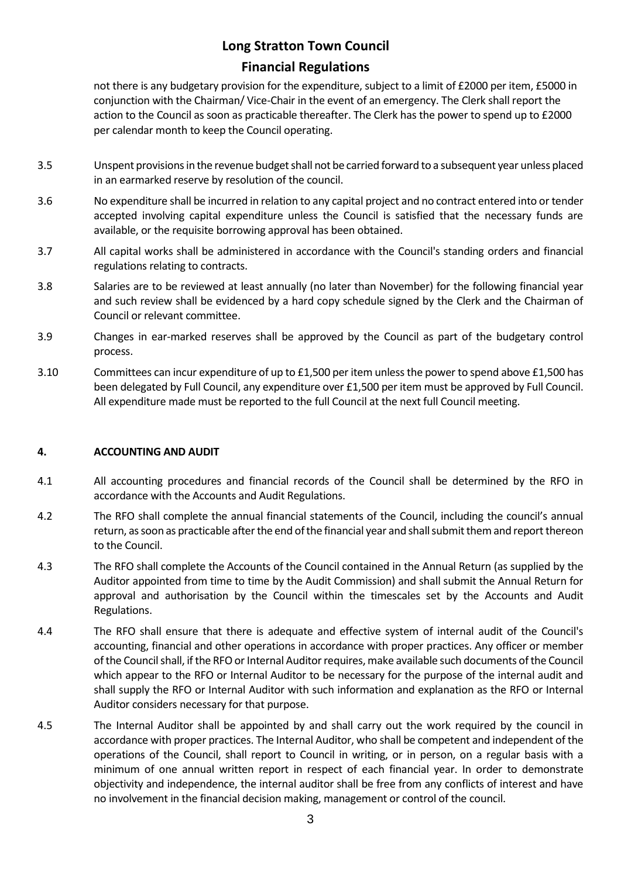not there is any budgetary provision for the expenditure, subject to a limit of £2000 per item, £5000 in conjunction with the Chairman/ Vice-Chair in the event of an emergency. The Clerk shall report the action to the Council as soon as practicable thereafter. The Clerk has the power to spend up to £2000 per calendar month to keep the Council operating.

- 3.5 Unspent provisions in the revenue budget shall not be carried forward to a subsequent year unless placed in an earmarked reserve by resolution of the council.
- 3.6 No expenditure shall be incurred in relation to any capital project and no contract entered into or tender accepted involving capital expenditure unless the Council is satisfied that the necessary funds are available, or the requisite borrowing approval has been obtained.
- 3.7 All capital works shall be administered in accordance with the Council's standing orders and financial regulations relating to contracts.
- 3.8 Salaries are to be reviewed at least annually (no later than November) for the following financial year and such review shall be evidenced by a hard copy schedule signed by the Clerk and the Chairman of Council or relevant committee.
- 3.9 Changes in ear-marked reserves shall be approved by the Council as part of the budgetary control process.
- 3.10 Committees can incur expenditure of up to £1,500 per item unless the power to spend above £1,500 has been delegated by Full Council, any expenditure over £1,500 per item must be approved by Full Council. All expenditure made must be reported to the full Council at the next full Council meeting.

### **4. ACCOUNTING AND AUDIT**

- 4.1 All accounting procedures and financial records of the Council shall be determined by the RFO in accordance with the Accounts and Audit Regulations.
- 4.2 The RFO shall complete the annual financial statements of the Council, including the council's annual return, as soon as practicable after the end of the financial year and shall submit them and reportthereon to the Council.
- 4.3 The RFO shall complete the Accounts of the Council contained in the Annual Return (as supplied by the Auditor appointed from time to time by the Audit Commission) and shall submit the Annual Return for approval and authorisation by the Council within the timescales set by the Accounts and Audit Regulations.
- 4.4 The RFO shall ensure that there is adequate and effective system of internal audit of the Council's accounting, financial and other operations in accordance with proper practices. Any officer or member of the Council shall, if the RFO or Internal Auditor requires, make available such documents of the Council which appear to the RFO or Internal Auditor to be necessary for the purpose of the internal audit and shall supply the RFO or Internal Auditor with such information and explanation as the RFO or Internal Auditor considers necessary for that purpose.
- 4.5 The Internal Auditor shall be appointed by and shall carry out the work required by the council in accordance with proper practices. The Internal Auditor, who shall be competent and independent of the operations of the Council, shall report to Council in writing, or in person, on a regular basis with a minimum of one annual written report in respect of each financial year. In order to demonstrate objectivity and independence, the internal auditor shall be free from any conflicts of interest and have no involvement in the financial decision making, management or control of the council.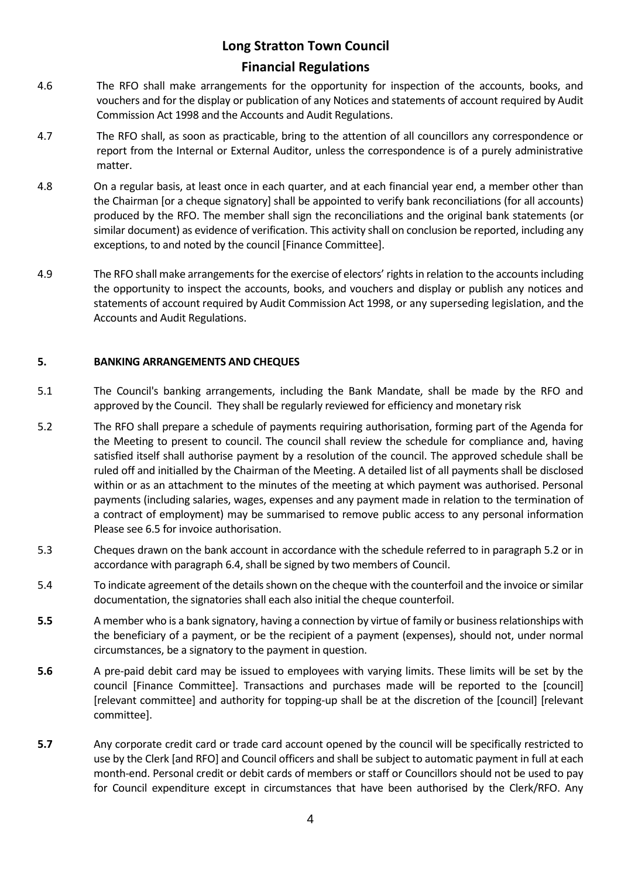# **Long Stratton Town Council**

### **Financial Regulations**

- 4.6 The RFO shall make arrangements for the opportunity for inspection of the accounts, books, and vouchers and for the display or publication of any Notices and statements of account required by Audit Commission Act 1998 and the Accounts and Audit Regulations.
- 4.7 The RFO shall, as soon as practicable, bring to the attention of all councillors any correspondence or report from the Internal or External Auditor, unless the correspondence is of a purely administrative matter.
- 4.8 On a regular basis, at least once in each quarter, and at each financial year end, a member other than the Chairman [or a cheque signatory] shall be appointed to verify bank reconciliations (for all accounts) produced by the RFO. The member shall sign the reconciliations and the original bank statements (or similar document) as evidence of verification. This activity shall on conclusion be reported, including any exceptions, to and noted by the council [Finance Committee].
- 4.9 The RFO shall make arrangements for the exercise of electors' rights in relation to the accounts including the opportunity to inspect the accounts, books, and vouchers and display or publish any notices and statements of account required by Audit Commission Act 1998, or any superseding legislation, and the Accounts and Audit Regulations.

### **5. BANKING ARRANGEMENTS AND CHEQUES**

- 5.1 The Council's banking arrangements, including the Bank Mandate, shall be made by the RFO and approved by the Council. They shall be regularly reviewed for efficiency and monetary risk
- 5.2 The RFO shall prepare a schedule of payments requiring authorisation, forming part of the Agenda for the Meeting to present to council. The council shall review the schedule for compliance and, having satisfied itself shall authorise payment by a resolution of the council. The approved schedule shall be ruled off and initialled by the Chairman of the Meeting. A detailed list of all payments shall be disclosed within or as an attachment to the minutes of the meeting at which payment was authorised. Personal payments (including salaries, wages, expenses and any payment made in relation to the termination of a contract of employment) may be summarised to remove public access to any personal information Please see 6.5 for invoice authorisation.
- 5.3 Cheques drawn on the bank account in accordance with the schedule referred to in paragraph 5.2 or in accordance with paragraph 6.4, shall be signed by two members of Council.
- 5.4 To indicate agreement of the details shown on the cheque with the counterfoil and the invoice or similar documentation, the signatories shall each also initial the cheque counterfoil.
- **5.5** A member who is a bank signatory, having a connection by virtue of family or business relationships with the beneficiary of a payment, or be the recipient of a payment (expenses), should not, under normal circumstances, be a signatory to the payment in question.
- **5.6** A pre-paid debit card may be issued to employees with varying limits. These limits will be set by the council [Finance Committee]. Transactions and purchases made will be reported to the [council] [relevant committee] and authority for topping-up shall be at the discretion of the [council] [relevant committee].
- **5.7** Any corporate credit card or trade card account opened by the council will be specifically restricted to use by the Clerk [and RFO] and Council officers and shall be subject to automatic payment in full at each month-end. Personal credit or debit cards of members or staff or Councillors should not be used to pay for Council expenditure except in circumstances that have been authorised by the Clerk/RFO. Any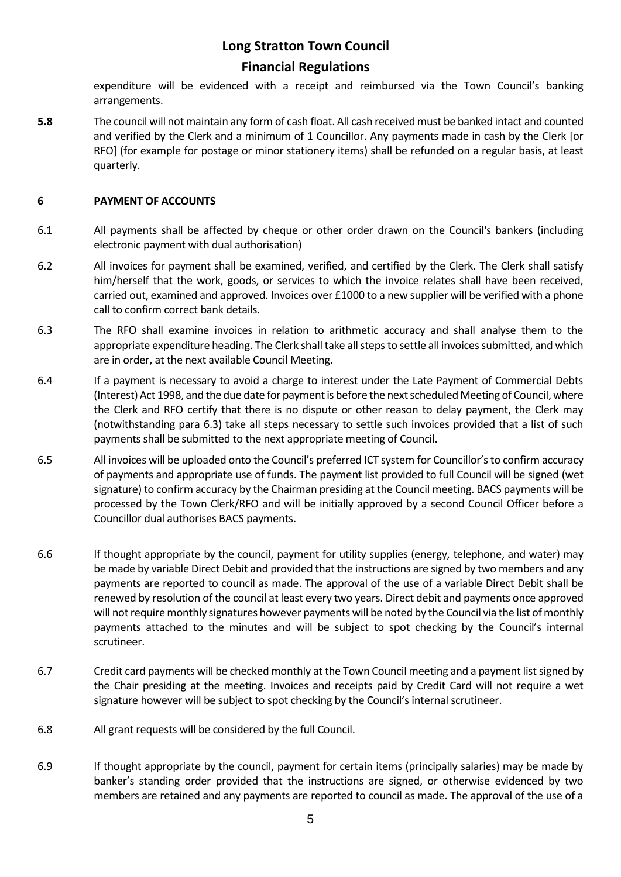# **Long Stratton Town Council**

### **Financial Regulations**

expenditure will be evidenced with a receipt and reimbursed via the Town Council's banking arrangements.

**5.8** The council will not maintain any form of cash float. All cash received must be banked intact and counted and verified by the Clerk and a minimum of 1 Councillor. Any payments made in cash by the Clerk [or RFO] (for example for postage or minor stationery items) shall be refunded on a regular basis, at least quarterly.

### **6 PAYMENT OF ACCOUNTS**

- 6.1 All payments shall be affected by cheque or other order drawn on the Council's bankers (including electronic payment with dual authorisation)
- 6.2 All invoices for payment shall be examined, verified, and certified by the Clerk. The Clerk shall satisfy him/herself that the work, goods, or services to which the invoice relates shall have been received, carried out, examined and approved. Invoices over £1000 to a new supplier will be verified with a phone call to confirm correct bank details.
- 6.3 The RFO shall examine invoices in relation to arithmetic accuracy and shall analyse them to the appropriate expenditure heading. The Clerk shall take all steps to settle all invoices submitted, and which are in order, at the next available Council Meeting.
- 6.4 If a payment is necessary to avoid a charge to interest under the Late Payment of Commercial Debts (Interest) Act 1998, and the due date for payment is before the next scheduled Meeting of Council, where the Clerk and RFO certify that there is no dispute or other reason to delay payment, the Clerk may (notwithstanding para 6.3) take all steps necessary to settle such invoices provided that a list of such payments shall be submitted to the next appropriate meeting of Council.
- 6.5 All invoices will be uploaded onto the Council's preferred ICT system for Councillor's to confirm accuracy of payments and appropriate use of funds. The payment list provided to full Council will be signed (wet signature) to confirm accuracy by the Chairman presiding at the Council meeting. BACS payments will be processed by the Town Clerk/RFO and will be initially approved by a second Council Officer before a Councillor dual authorises BACS payments.
- 6.6 If thought appropriate by the council, payment for utility supplies (energy, telephone, and water) may be made by variable Direct Debit and provided that the instructions are signed by two members and any payments are reported to council as made. The approval of the use of a variable Direct Debit shall be renewed by resolution of the council at least every two years. Direct debit and payments once approved will not require monthly signatures however payments will be noted by the Council via the list of monthly payments attached to the minutes and will be subject to spot checking by the Council's internal scrutineer.
- 6.7 Credit card payments will be checked monthly at the Town Council meeting and a payment list signed by the Chair presiding at the meeting. Invoices and receipts paid by Credit Card will not require a wet signature however will be subject to spot checking by the Council's internal scrutineer.
- 6.8 All grant requests will be considered by the full Council.
- 6.9 If thought appropriate by the council, payment for certain items (principally salaries) may be made by banker's standing order provided that the instructions are signed, or otherwise evidenced by two members are retained and any payments are reported to council as made. The approval of the use of a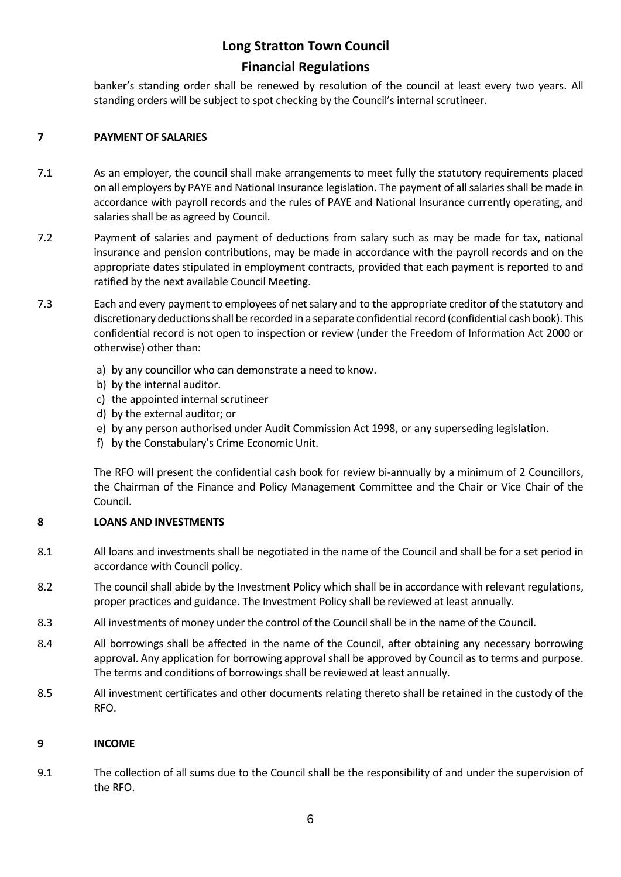banker's standing order shall be renewed by resolution of the council at least every two years. All standing orders will be subject to spot checking by the Council's internal scrutineer.

### **7 PAYMENT OF SALARIES**

- 7.1 As an employer, the council shall make arrangements to meet fully the statutory requirements placed on all employers by PAYE and National Insurance legislation. The payment of all salaries shall be made in accordance with payroll records and the rules of PAYE and National Insurance currently operating, and salaries shall be as agreed by Council.
- 7.2 Payment of salaries and payment of deductions from salary such as may be made for tax, national insurance and pension contributions, may be made in accordance with the payroll records and on the appropriate dates stipulated in employment contracts, provided that each payment is reported to and ratified by the next available Council Meeting.
- 7.3 Each and every payment to employees of net salary and to the appropriate creditor of the statutory and discretionary deductions shall be recorded in a separate confidential record (confidential cash book). This confidential record is not open to inspection or review (under the Freedom of Information Act 2000 or otherwise) other than:
	- a) by any councillor who can demonstrate a need to know.
	- b) by the internal auditor.
	- c) the appointed internal scrutineer
	- d) by the external auditor; or
	- e) by any person authorised under Audit Commission Act 1998, or any superseding legislation.
	- f) by the Constabulary's Crime Economic Unit.

The RFO will present the confidential cash book for review bi-annually by a minimum of 2 Councillors, the Chairman of the Finance and Policy Management Committee and the Chair or Vice Chair of the Council.

### **8 LOANS AND INVESTMENTS**

- 8.1 All loans and investments shall be negotiated in the name of the Council and shall be for a set period in accordance with Council policy.
- 8.2 The council shall abide by the Investment Policy which shall be in accordance with relevant regulations, proper practices and guidance. The Investment Policy shall be reviewed at least annually.
- 8.3 All investments of money under the control of the Council shall be in the name of the Council.
- 8.4 All borrowings shall be affected in the name of the Council, after obtaining any necessary borrowing approval. Any application for borrowing approval shall be approved by Council as to terms and purpose. The terms and conditions of borrowings shall be reviewed at least annually.
- 8.5 All investment certificates and other documents relating thereto shall be retained in the custody of the RFO.

### **9 INCOME**

9.1 The collection of all sums due to the Council shall be the responsibility of and under the supervision of the RFO.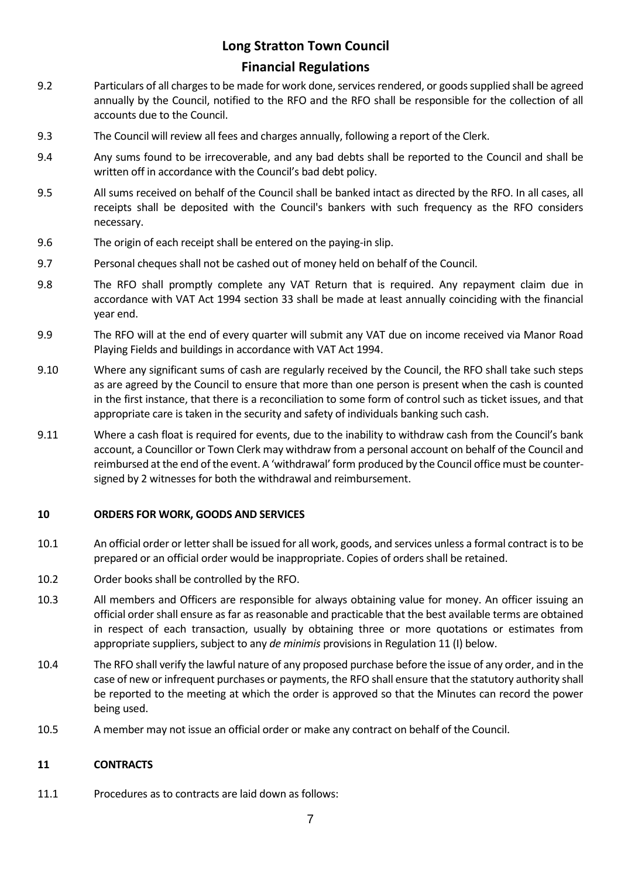# **Long Stratton Town Council**

### **Financial Regulations**

- 9.2 Particulars of all charges to be made for work done, services rendered, or goods supplied shall be agreed annually by the Council, notified to the RFO and the RFO shall be responsible for the collection of all accounts due to the Council.
- 9.3 The Council will review all fees and charges annually, following a report of the Clerk.
- 9.4 Any sums found to be irrecoverable, and any bad debts shall be reported to the Council and shall be written off in accordance with the Council's bad debt policy.
- 9.5 All sums received on behalf of the Council shall be banked intact as directed by the RFO. In all cases, all receipts shall be deposited with the Council's bankers with such frequency as the RFO considers necessary.
- 9.6 The origin of each receipt shall be entered on the paying-in slip.
- 9.7 Personal cheques shall not be cashed out of money held on behalf of the Council.
- 9.8 The RFO shall promptly complete any VAT Return that is required. Any repayment claim due in accordance with VAT Act 1994 section 33 shall be made at least annually coinciding with the financial year end.
- 9.9 The RFO will at the end of every quarter will submit any VAT due on income received via Manor Road Playing Fields and buildings in accordance with VAT Act 1994.
- 9.10 Where any significant sums of cash are regularly received by the Council, the RFO shall take such steps as are agreed by the Council to ensure that more than one person is present when the cash is counted in the first instance, that there is a reconciliation to some form of control such as ticket issues, and that appropriate care is taken in the security and safety of individuals banking such cash.
- 9.11 Where a cash float is required for events, due to the inability to withdraw cash from the Council's bank account, a Councillor or Town Clerk may withdraw from a personal account on behalf of the Council and reimbursed at the end of the event. A 'withdrawal' form produced by the Council officemust be countersigned by 2 witnesses for both the withdrawal and reimbursement.

### **10 ORDERS FOR WORK, GOODS AND SERVICES**

- 10.1 An official order or letter shall be issued for all work, goods, and services unless a formal contract is to be prepared or an official order would be inappropriate. Copies of orders shall be retained.
- 10.2 Order books shall be controlled by the RFO.
- 10.3 All members and Officers are responsible for always obtaining value for money. An officer issuing an official order shall ensure as far as reasonable and practicable that the best available terms are obtained in respect of each transaction, usually by obtaining three or more quotations or estimates from appropriate suppliers, subject to any *de minimis* provisions in Regulation 11 (I) below.
- 10.4 The RFO shall verify the lawful nature of any proposed purchase before the issue of any order, and in the case of new or infrequent purchases or payments, the RFO shall ensure that the statutory authority shall be reported to the meeting at which the order is approved so that the Minutes can record the power being used.
- 10.5 A member may not issue an official order or make any contract on behalf of the Council.

### **11 CONTRACTS**

11.1 Procedures as to contracts are laid down as follows: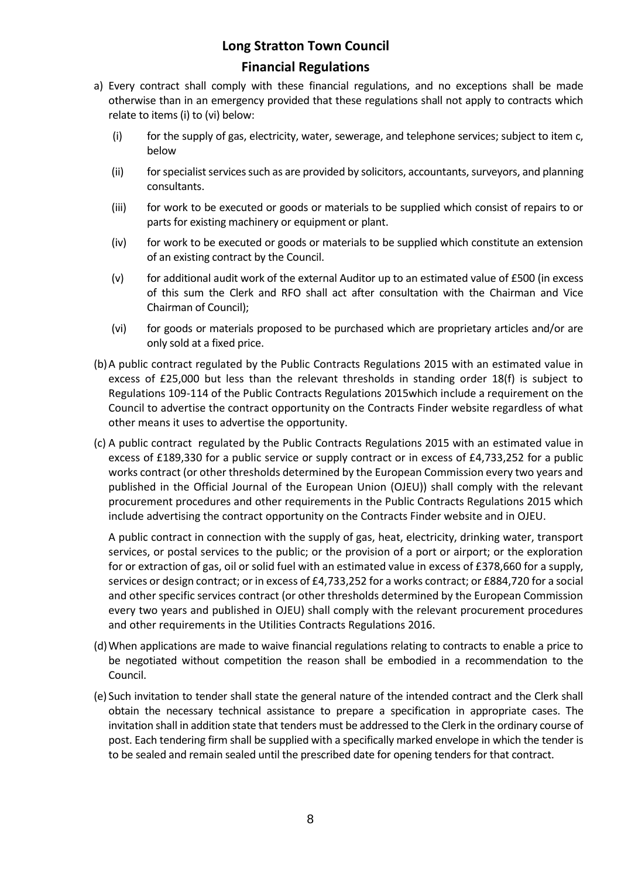- a) Every contract shall comply with these financial regulations, and no exceptions shall be made otherwise than in an emergency provided that these regulations shall not apply to contracts which relate to items (i) to (vi) below:
	- (i) for the supply of gas, electricity, water, sewerage, and telephone services; subject to item c, below
	- (ii) for specialist services such as are provided by solicitors, accountants, surveyors, and planning consultants.
	- (iii) for work to be executed or goods or materials to be supplied which consist of repairs to or parts for existing machinery or equipment or plant.
	- (iv) for work to be executed or goods or materials to be supplied which constitute an extension of an existing contract by the Council.
	- (v) for additional audit work of the external Auditor up to an estimated value of £500 (in excess of this sum the Clerk and RFO shall act after consultation with the Chairman and Vice Chairman of Council);
	- (vi) for goods or materials proposed to be purchased which are proprietary articles and/or are only sold at a fixed price.
- (b)A public contract regulated by the Public Contracts Regulations 2015 with an estimated value in excess of £25,000 but less than the relevant thresholds in standing order 18(f) is subject to Regulations 109-114 of the Public Contracts Regulations 2015which include a requirement on the Council to advertise the contract opportunity on the Contracts Finder website regardless of what other means it uses to advertise the opportunity.
- (c) A public contract regulated by the Public Contracts Regulations 2015 with an estimated value in excess of £189,330 for a public service or supply contract or in excess of £4,733,252 for a public works contract (or other thresholds determined by the European Commission every two years and published in the Official Journal of the European Union (OJEU)) shall comply with the relevant procurement procedures and other requirements in the Public Contracts Regulations 2015 which include advertising the contract opportunity on the Contracts Finder website and in OJEU.

A public contract in connection with the supply of gas, heat, electricity, drinking water, transport services, or postal services to the public; or the provision of a port or airport; or the exploration for or extraction of gas, oil or solid fuel with an estimated value in excess of £378,660 for a supply, services or design contract; or in excess of £4,733,252 for a works contract; or £884,720 for a social and other specific services contract (or other thresholds determined by the European Commission every two years and published in OJEU) shall comply with the relevant procurement procedures and other requirements in the Utilities Contracts Regulations 2016.

- (d)When applications are made to waive financial regulations relating to contracts to enable a price to be negotiated without competition the reason shall be embodied in a recommendation to the Council.
- (e) Such invitation to tender shall state the general nature of the intended contract and the Clerk shall obtain the necessary technical assistance to prepare a specification in appropriate cases. The invitation shall in addition state that tenders must be addressed to the Clerk in the ordinary course of post. Each tendering firm shall be supplied with a specifically marked envelope in which the tender is to be sealed and remain sealed until the prescribed date for opening tenders for that contract.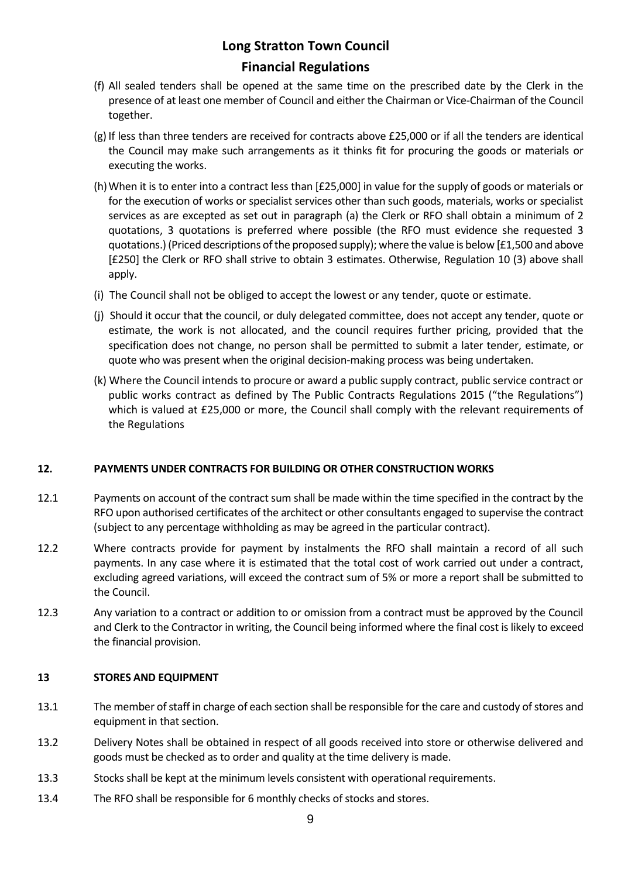- (f) All sealed tenders shall be opened at the same time on the prescribed date by the Clerk in the presence of at least one member of Council and either the Chairman or Vice-Chairman of the Council together.
- (g) If less than three tenders are received for contracts above £25,000 or if all the tenders are identical the Council may make such arrangements as it thinks fit for procuring the goods or materials or executing the works.
- (h)When it is to enter into a contract less than [£25,000] in value for the supply of goods or materials or for the execution of works or specialist services other than such goods, materials, works or specialist services as are excepted as set out in paragraph (a) the Clerk or RFO shall obtain a minimum of 2 quotations, 3 quotations is preferred where possible (the RFO must evidence she requested 3 quotations.) (Priced descriptions of the proposed supply); where the value is below [£1,500 and above [£250] the Clerk or RFO shall strive to obtain 3 estimates. Otherwise, Regulation 10 (3) above shall apply.
- (i) The Council shall not be obliged to accept the lowest or any tender, quote or estimate.
- (j) Should it occur that the council, or duly delegated committee, does not accept any tender, quote or estimate, the work is not allocated, and the council requires further pricing, provided that the specification does not change, no person shall be permitted to submit a later tender, estimate, or quote who was present when the original decision-making process was being undertaken.
- (k) Where the Council intends to procure or award a public supply contract, public service contract or public works contract as defined by The Public Contracts Regulations 2015 ("the Regulations") which is valued at £25,000 or more, the Council shall comply with the relevant requirements of the Regulations

### **12. PAYMENTS UNDER CONTRACTS FOR BUILDING OR OTHER CONSTRUCTION WORKS**

- 12.1 Payments on account of the contract sum shall be made within the time specified in the contract by the RFO upon authorised certificates of the architect or other consultants engaged to supervise the contract (subject to any percentage withholding as may be agreed in the particular contract).
- 12.2 Where contracts provide for payment by instalments the RFO shall maintain a record of all such payments. In any case where it is estimated that the total cost of work carried out under a contract, excluding agreed variations, will exceed the contract sum of 5% or more a report shall be submitted to the Council.
- 12.3 Any variation to a contract or addition to or omission from a contract must be approved by the Council and Clerk to the Contractor in writing, the Council being informed where the final cost is likely to exceed the financial provision.

### **13 STORES AND EQUIPMENT**

- 13.1 The member of staff in charge of each section shall be responsible for the care and custody of stores and equipment in that section.
- 13.2 Delivery Notes shall be obtained in respect of all goods received into store or otherwise delivered and goods must be checked as to order and quality at the time delivery is made.
- 13.3 Stocks shall be kept at the minimum levels consistent with operational requirements.
- 13.4 The RFO shall be responsible for 6 monthly checks of stocks and stores.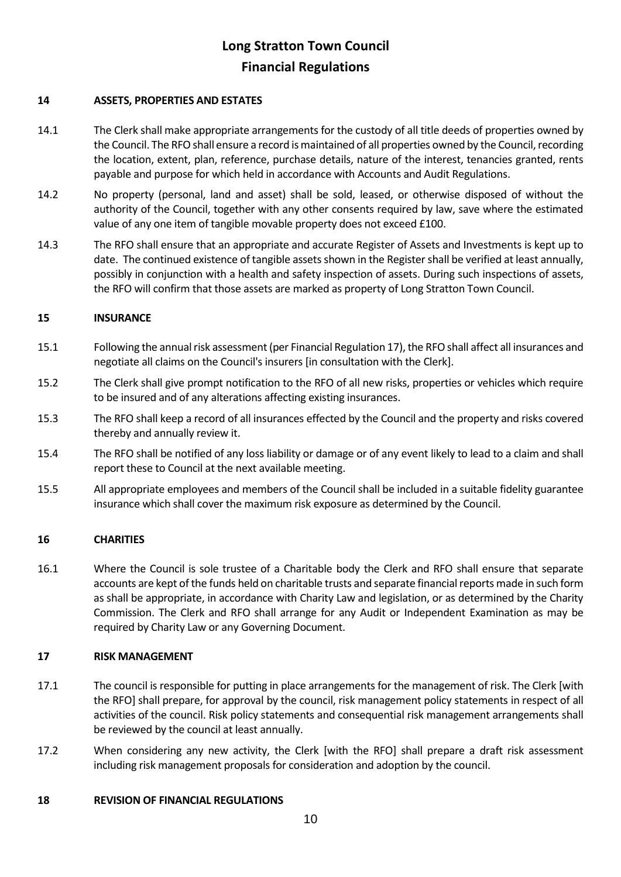### **14 ASSETS, PROPERTIES AND ESTATES**

- 14.1 The Clerk shall make appropriate arrangements for the custody of all title deeds of properties owned by the Council. The RFO shall ensure a record is maintained of all properties owned by the Council, recording the location, extent, plan, reference, purchase details, nature of the interest, tenancies granted, rents payable and purpose for which held in accordance with Accounts and Audit Regulations.
- 14.2 No property (personal, land and asset) shall be sold, leased, or otherwise disposed of without the authority of the Council, together with any other consents required by law, save where the estimated value of any one item of tangible movable property does not exceed £100.
- 14.3 The RFO shall ensure that an appropriate and accurate Register of Assets and Investments is kept up to date. The continued existence of tangible assets shown in the Register shall be verified at least annually, possibly in conjunction with a health and safety inspection of assets. During such inspections of assets, the RFO will confirm that those assets are marked as property of Long Stratton Town Council.

### **15 INSURANCE**

- 15.1 Following the annual risk assessment (per Financial Regulation 17), the RFO shall affect all insurances and negotiate all claims on the Council's insurers [in consultation with the Clerk].
- 15.2 The Clerk shall give prompt notification to the RFO of all new risks, properties or vehicles which require to be insured and of any alterations affecting existing insurances.
- 15.3 The RFO shall keep a record of all insurances effected by the Council and the property and risks covered thereby and annually review it.
- 15.4 The RFO shall be notified of any loss liability or damage or of any event likely to lead to a claim and shall report these to Council at the next available meeting.
- 15.5 All appropriate employees and members of the Council shall be included in a suitable fidelity guarantee insurance which shall cover the maximum risk exposure as determined by the Council.

### **16 CHARITIES**

16.1 Where the Council is sole trustee of a Charitable body the Clerk and RFO shall ensure that separate accounts are kept of the funds held on charitable trusts and separate financial reports made in such form as shall be appropriate, in accordance with Charity Law and legislation, or as determined by the Charity Commission. The Clerk and RFO shall arrange for any Audit or Independent Examination as may be required by Charity Law or any Governing Document.

### **17 RISK MANAGEMENT**

- 17.1 The council is responsible for putting in place arrangements for the management of risk. The Clerk [with the RFO] shall prepare, for approval by the council, risk management policy statements in respect of all activities of the council. Risk policy statements and consequential risk management arrangements shall be reviewed by the council at least annually.
- 17.2 When considering any new activity, the Clerk [with the RFO] shall prepare a draft risk assessment including risk management proposals for consideration and adoption by the council.

### **18 REVISION OF FINANCIAL REGULATIONS**